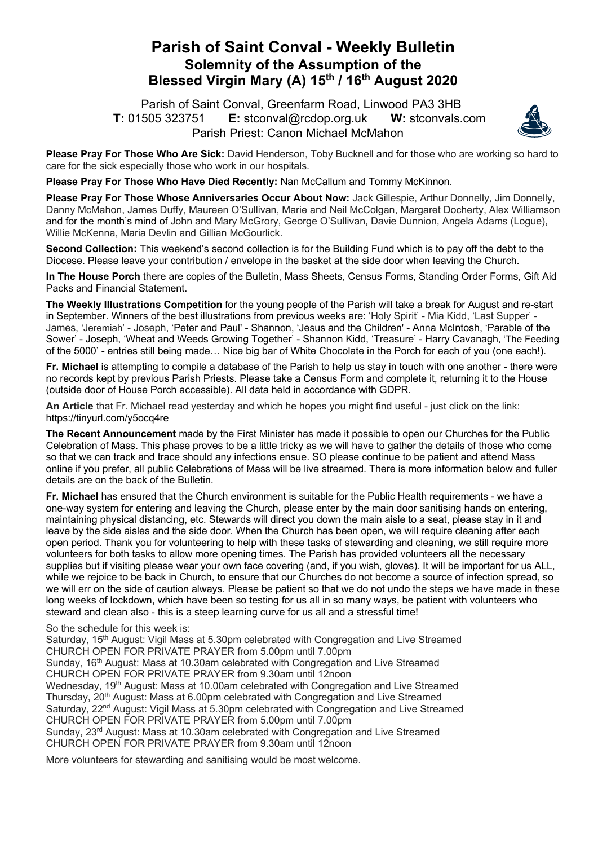## **Parish of Saint Conval - Weekly Bulletin Solemnity of the Assumption of the Blessed Virgin Mary (A) 15th / 16th August 2020**

 Parish of Saint Conval, Greenfarm Road, Linwood PA3 3HB **T:** 01505 323751 **E:** stconval@rcdop.org.uk **W:** stconvals.com Parish Priest: Canon Michael McMahon



**Please Pray For Those Who Are Sick:** David Henderson, Toby Bucknell and for those who are working so hard to care for the sick especially those who work in our hospitals.

**Please Pray For Those Who Have Died Recently:** Nan McCallum and Tommy McKinnon.

**Please Pray For Those Whose Anniversaries Occur About Now:** Jack Gillespie, Arthur Donnelly, Jim Donnelly, Danny McMahon, James Duffy, Maureen O'Sullivan, Marie and Neil McColgan, Margaret Docherty, Alex Williamson and for the month's mind of John and Mary McGrory, George O'Sullivan, Davie Dunnion, Angela Adams (Logue), Willie McKenna, Maria Devlin and Gillian McGourlick.

**Second Collection:** This weekend's second collection is for the Building Fund which is to pay off the debt to the Diocese. Please leave your contribution / envelope in the basket at the side door when leaving the Church.

**In The House Porch** there are copies of the Bulletin, Mass Sheets, Census Forms, Standing Order Forms, Gift Aid Packs and Financial Statement.

**The Weekly Illustrations Competition** for the young people of the Parish will take a break for August and re-start in September. Winners of the best illustrations from previous weeks are: 'Holy Spirit' - Mia Kidd, 'Last Supper' - James, 'Jeremiah' - Joseph, 'Peter and Paul' - Shannon, 'Jesus and the Children' - Anna McIntosh, 'Parable of the Sower' - Joseph, 'Wheat and Weeds Growing Together' - Shannon Kidd, 'Treasure' - Harry Cavanagh, 'The Feeding of the 5000' - entries still being made… Nice big bar of White Chocolate in the Porch for each of you (one each!).

**Fr. Michael** is attempting to compile a database of the Parish to help us stay in touch with one another - there were no records kept by previous Parish Priests. Please take a Census Form and complete it, returning it to the House (outside door of House Porch accessible). All data held in accordance with GDPR.

**An Article** that Fr. Michael read yesterday and which he hopes you might find useful - just click on the link: https://tinyurl.com/y5ocq4re

**The Recent Announcement** made by the First Minister has made it possible to open our Churches for the Public Celebration of Mass. This phase proves to be a little tricky as we will have to gather the details of those who come so that we can track and trace should any infections ensue. SO please continue to be patient and attend Mass online if you prefer, all public Celebrations of Mass will be live streamed. There is more information below and fuller details are on the back of the Bulletin.

**Fr. Michael** has ensured that the Church environment is suitable for the Public Health requirements - we have a one-way system for entering and leaving the Church, please enter by the main door sanitising hands on entering, maintaining physical distancing, etc. Stewards will direct you down the main aisle to a seat, please stay in it and leave by the side aisles and the side door. When the Church has been open, we will require cleaning after each open period. Thank you for volunteering to help with these tasks of stewarding and cleaning, we still require more volunteers for both tasks to allow more opening times. The Parish has provided volunteers all the necessary supplies but if visiting please wear your own face covering (and, if you wish, gloves). It will be important for us ALL, while we rejoice to be back in Church, to ensure that our Churches do not become a source of infection spread, so we will err on the side of caution always. Please be patient so that we do not undo the steps we have made in these long weeks of lockdown, which have been so testing for us all in so many ways, be patient with volunteers who steward and clean also - this is a steep learning curve for us all and a stressful time!

So the schedule for this week is:

Saturday, 15<sup>th</sup> August: Vigil Mass at 5.30pm celebrated with Congregation and Live Streamed CHURCH OPEN FOR PRIVATE PRAYER from 5.00pm until 7.00pm Sunday, 16th August: Mass at 10.30am celebrated with Congregation and Live Streamed CHURCH OPEN FOR PRIVATE PRAYER from 9.30am until 12noon Wednesday, 19<sup>th</sup> August: Mass at 10.00am celebrated with Congregation and Live Streamed Thursday, 20<sup>th</sup> August: Mass at 6.00pm celebrated with Congregation and Live Streamed Saturday, 22<sup>nd</sup> August: Vigil Mass at 5.30pm celebrated with Congregation and Live Streamed CHURCH OPEN FOR PRIVATE PRAYER from 5.00pm until 7.00pm Sunday, 23rd August: Mass at 10.30am celebrated with Congregation and Live Streamed CHURCH OPEN FOR PRIVATE PRAYER from 9.30am until 12noon

More volunteers for stewarding and sanitising would be most welcome.